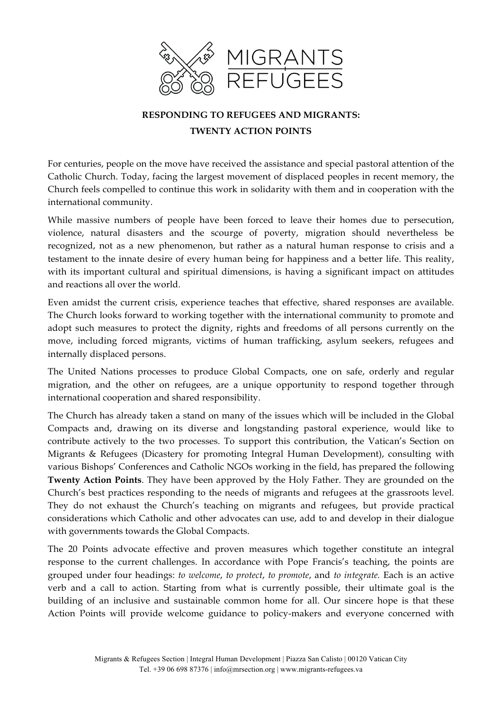

# **RESPONDING TO REFUGEES AND MIGRANTS:**

### **TWENTY ACTION POINTS**

For centuries, people on the move have received the assistance and special pastoral attention of the Catholic Church. Today, facing the largest movement of displaced peoples in recent memory, the Church feels compelled to continue this work in solidarity with them and in cooperation with the international community.

While massive numbers of people have been forced to leave their homes due to persecution, violence, natural disasters and the scourge of poverty, migration should nevertheless be recognized, not as a new phenomenon, but rather as a natural human response to crisis and a testament to the innate desire of every human being for happiness and a better life. This reality, with its important cultural and spiritual dimensions, is having a significant impact on attitudes and reactions all over the world.

Even amidst the current crisis, experience teaches that effective, shared responses are available. The Church looks forward to working together with the international community to promote and adopt such measures to protect the dignity, rights and freedoms of all persons currently on the move, including forced migrants, victims of human trafficking, asylum seekers, refugees and internally displaced persons.

The United Nations processes to produce Global Compacts, one on safe, orderly and regular migration, and the other on refugees, are a unique opportunity to respond together through international cooperation and shared responsibility.

The Church has already taken a stand on many of the issues which will be included in the Global Compacts and, drawing on its diverse and longstanding pastoral experience, would like to contribute actively to the two processes. To support this contribution, the Vatican's Section on Migrants & Refugees (Dicastery for promoting Integral Human Development), consulting with various Bishops' Conferences and Catholic NGOs working in the field, has prepared the following **Twenty Action Points**. They have been approved by the Holy Father. They are grounded on the Church's best practices responding to the needs of migrants and refugees at the grassroots level. They do not exhaust the Church's teaching on migrants and refugees, but provide practical considerations which Catholic and other advocates can use, add to and develop in their dialogue with governments towards the Global Compacts.

The 20 Points advocate effective and proven measures which together constitute an integral response to the current challenges. In accordance with Pope Francis's teaching, the points are grouped under four headings: *to welcome*, *to protect*, *to promote*, and *to integrate.* Each is an active verb and a call to action. Starting from what is currently possible, their ultimate goal is the building of an inclusive and sustainable common home for all. Our sincere hope is that these Action Points will provide welcome guidance to policy-makers and everyone concerned with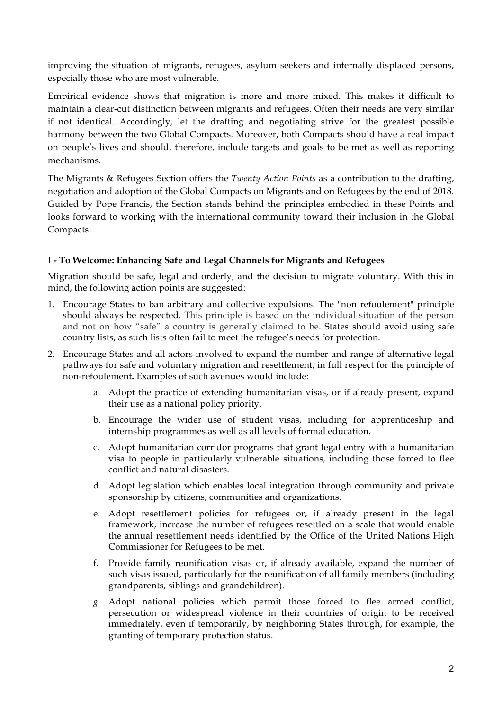improving the situation of migrants, refugees, asylum seekers and internally displaced persons, especially those who are most vulnerable.

Empirical evidence shows that migration is more and more mixed. This makes it difficult to maintain a clear-cut distinction between migrants and refugees. Often their needs are very similar if not identical. Accordingly, let the drafting and negotiating strive for the greatest possible harmony between the two Global Compacts. Moreover, both Compacts should have a real impact on people's lives and should, therefore, include targets and goals to be met as well as reporting mechanisms.

The Migrants & Refugees Section offers the *Twenty Action Points* as a contribution to the drafting, negotiation and adoption of the Global Compacts on Migrants and on Refugees by the end of 2018. Guided by Pope Francis, the Section stands behind the principles embodied in these Points and looks forward to working with the international community toward their inclusion in the Global Compacts.

# **I - To Welcome: Enhancing Safe and Legal Channels for Migrants and Refugees**

Migration should be safe, legal and orderly, and the decision to migrate voluntary. With this in mind, the following action points are suggested:

- 1. Encourage States to ban arbitrary and collective expulsions. The "non refoulement" principle should always be respected. This principle is based on the individual situation of the person and not on how "safe" a country is generally claimed to be. States should avoid using safe country lists, as such lists often fail to meet the refugee's needs for protection.
- 2. Encourage States and all actors involved to expand the number and range of alternative legal pathways for safe and voluntary migration and resettlement, in full respect for the principle of non-refoulement**.** Examples of such avenues would include:
	- a. Adopt the practice of extending humanitarian visas, or if already present, expand their use as a national policy priority.
	- b. Encourage the wider use of student visas, including for apprenticeship and internship programmes as well as all levels of formal education.
	- c. Adopt humanitarian corridor programs that grant legal entry with a humanitarian visa to people in particularly vulnerable situations, including those forced to flee conflict and natural disasters.
	- d. Adopt legislation which enables local integration through community and private sponsorship by citizens, communities and organizations.
	- e. Adopt resettlement policies for refugees or, if already present in the legal framework, increase the number of refugees resettled on a scale that would enable the annual resettlement needs identified by the Office of the United Nations High Commissioner for Refugees to be met.
	- f. Provide family reunification visas or, if already available, expand the number of such visas issued, particularly for the reunification of all family members (including grandparents, siblings and grandchildren).
	- *g.* Adopt national policies which permit those forced to flee armed conflict, persecution or widespread violence in their countries of origin to be received immediately, even if temporarily, by neighboring States through, for example, the granting of temporary protection status.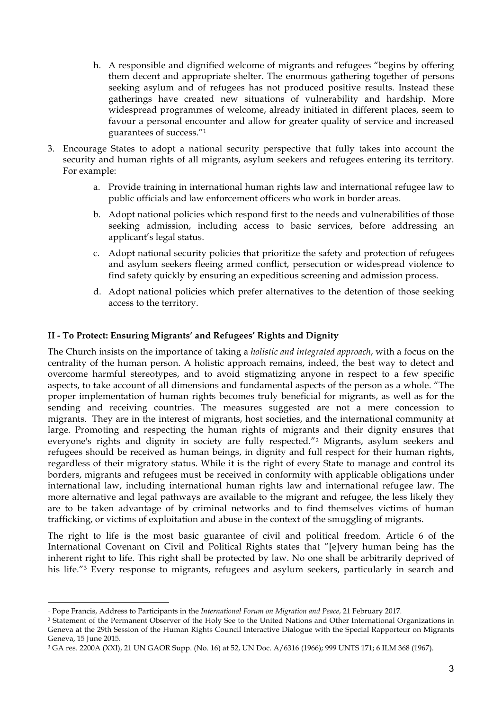- h. A responsible and dignified welcome of migrants and refugees "begins by offering them decent and appropriate shelter. The enormous gathering together of persons seeking asylum and of refugees has not produced positive results. Instead these gatherings have created new situations of vulnerability and hardship. More widespread programmes of welcome, already initiated in different places, seem to favour a personal encounter and allow for greater quality of service and increased guarantees of success."1
- 3. Encourage States to adopt a national security perspective that fully takes into account the security and human rights of all migrants, asylum seekers and refugees entering its territory. For example:
	- a. Provide training in international human rights law and international refugee law to public officials and law enforcement officers who work in border areas.
	- b. Adopt national policies which respond first to the needs and vulnerabilities of those seeking admission, including access to basic services, before addressing an applicant's legal status.
	- c. Adopt national security policies that prioritize the safety and protection of refugees and asylum seekers fleeing armed conflict, persecution or widespread violence to find safety quickly by ensuring an expeditious screening and admission process.
	- d. Adopt national policies which prefer alternatives to the detention of those seeking access to the territory.

### **II - To Protect: Ensuring Migrants' and Refugees' Rights and Dignity**

The Church insists on the importance of taking a *holistic and integrated approach*, with a focus on the centrality of the human person. A holistic approach remains, indeed, the best way to detect and overcome harmful stereotypes, and to avoid stigmatizing anyone in respect to a few specific aspects, to take account of all dimensions and fundamental aspects of the person as a whole. "The proper implementation of human rights becomes truly beneficial for migrants, as well as for the sending and receiving countries. The measures suggested are not a mere concession to migrants. They are in the interest of migrants, host societies, and the international community at large. Promoting and respecting the human rights of migrants and their dignity ensures that everyone's rights and dignity in society are fully respected."2 Migrants, asylum seekers and refugees should be received as human beings, in dignity and full respect for their human rights, regardless of their migratory status. While it is the right of every State to manage and control its borders, migrants and refugees must be received in conformity with applicable obligations under international law, including international human rights law and international refugee law. The more alternative and legal pathways are available to the migrant and refugee, the less likely they are to be taken advantage of by criminal networks and to find themselves victims of human trafficking, or victims of exploitation and abuse in the context of the smuggling of migrants.

The right to life is the most basic guarantee of civil and political freedom. Article 6 of the International Covenant on Civil and Political Rights states that "[e]very human being has the inherent right to life. This right shall be protected by law. No one shall be arbitrarily deprived of his life."<sup>3</sup> Every response to migrants, refugees and asylum seekers, particularly in search and

<sup>1</sup> Pope Francis, Address to Participants in the *International Forum on Migration and Peace*, 21 February 2017*.* 

<sup>2</sup> Statement of the Permanent Observer of the Holy See to the United Nations and Other International Organizations in Geneva at the 29th Session of the Human Rights Council Interactive Dialogue with the Special Rapporteur on Migrants Geneva, 15 June 2015.

<sup>3</sup> GA res. 2200A (XXI), 21 UN GAOR Supp. (No. 16) at 52, UN Doc. A/6316 (1966); 999 UNTS 171; 6 ILM 368 (1967).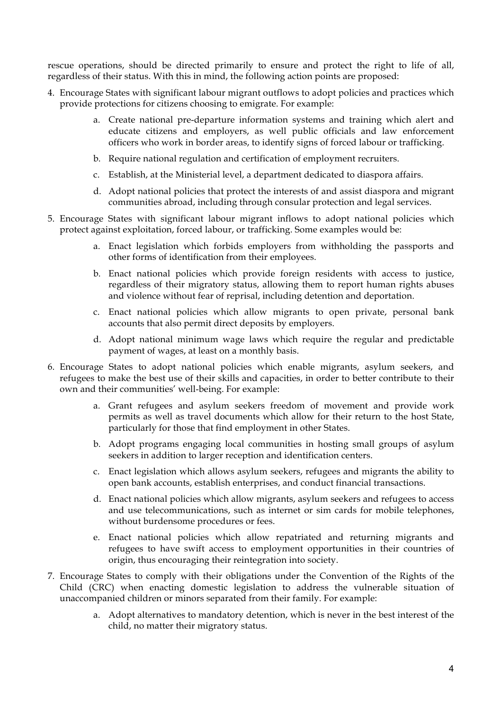rescue operations, should be directed primarily to ensure and protect the right to life of all, regardless of their status. With this in mind, the following action points are proposed:

- 4. Encourage States with significant labour migrant outflows to adopt policies and practices which provide protections for citizens choosing to emigrate. For example:
	- a. Create national pre-departure information systems and training which alert and educate citizens and employers, as well public officials and law enforcement officers who work in border areas, to identify signs of forced labour or trafficking.
	- b. Require national regulation and certification of employment recruiters.
	- c. Establish, at the Ministerial level, a department dedicated to diaspora affairs.
	- d. Adopt national policies that protect the interests of and assist diaspora and migrant communities abroad, including through consular protection and legal services.
- 5. Encourage States with significant labour migrant inflows to adopt national policies which protect against exploitation, forced labour, or trafficking. Some examples would be:
	- a. Enact legislation which forbids employers from withholding the passports and other forms of identification from their employees.
	- b. Enact national policies which provide foreign residents with access to justice, regardless of their migratory status, allowing them to report human rights abuses and violence without fear of reprisal, including detention and deportation.
	- c. Enact national policies which allow migrants to open private, personal bank accounts that also permit direct deposits by employers.
	- d. Adopt national minimum wage laws which require the regular and predictable payment of wages, at least on a monthly basis.
- 6. Encourage States to adopt national policies which enable migrants, asylum seekers, and refugees to make the best use of their skills and capacities, in order to better contribute to their own and their communities' well-being. For example:
	- a. Grant refugees and asylum seekers freedom of movement and provide work permits as well as travel documents which allow for their return to the host State, particularly for those that find employment in other States.
	- b. Adopt programs engaging local communities in hosting small groups of asylum seekers in addition to larger reception and identification centers.
	- c. Enact legislation which allows asylum seekers, refugees and migrants the ability to open bank accounts, establish enterprises, and conduct financial transactions.
	- d. Enact national policies which allow migrants, asylum seekers and refugees to access and use telecommunications, such as internet or sim cards for mobile telephones, without burdensome procedures or fees.
	- e. Enact national policies which allow repatriated and returning migrants and refugees to have swift access to employment opportunities in their countries of origin, thus encouraging their reintegration into society.
- 7. Encourage States to comply with their obligations under the Convention of the Rights of the Child (CRC) when enacting domestic legislation to address the vulnerable situation of unaccompanied children or minors separated from their family. For example:
	- a. Adopt alternatives to mandatory detention, which is never in the best interest of the child, no matter their migratory status.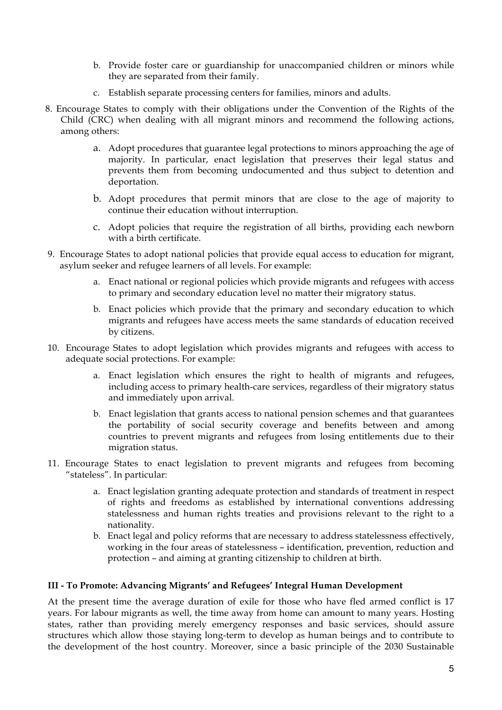- b. Provide foster care or guardianship for unaccompanied children or minors while they are separated from their family.
- c. Establish separate processing centers for families, minors and adults.
- 8. Encourage States to comply with their obligations under the Convention of the Rights of the Child (CRC) when dealing with all migrant minors and recommend the following actions, among others:
	- a. Adopt procedures that guarantee legal protections to minors approaching the age of majority. In particular, enact legislation that preserves their legal status and prevents them from becoming undocumented and thus subject to detention and deportation.
	- b. Adopt procedures that permit minors that are close to the age of majority to continue their education without interruption.
	- c. Adopt policies that require the registration of all births, providing each newborn with a birth certificate.
- 9. Encourage States to adopt national policies that provide equal access to education for migrant, asylum seeker and refugee learners of all levels. For example:
	- a. Enact national or regional policies which provide migrants and refugees with access to primary and secondary education level no matter their migratory status.
	- b. Enact policies which provide that the primary and secondary education to which migrants and refugees have access meets the same standards of education received by citizens.
- 10. Encourage States to adopt legislation which provides migrants and refugees with access to adequate social protections. For example:
	- a. Enact legislation which ensures the right to health of migrants and refugees, including access to primary health-care services, regardless of their migratory status and immediately upon arrival.
	- b. Enact legislation that grants access to national pension schemes and that guarantees the portability of social security coverage and benefits between and among countries to prevent migrants and refugees from losing entitlements due to their migration status.
- 11. Encourage States to enact legislation to prevent migrants and refugees from becoming "stateless". In particular:
	- a. Enact legislation granting adequate protection and standards of treatment in respect of rights and freedoms as established by international conventions addressing statelessness and human rights treaties and provisions relevant to the right to a nationality.
	- b. Enact legal and policy reforms that are necessary to address statelessness effectively, working in the four areas of statelessness – identification, prevention, reduction and protection – and aiming at granting citizenship to children at birth.

# **III - To Promote: Advancing Migrants' and Refugees' Integral Human Development**

At the present time the average duration of exile for those who have fled armed conflict is 17 years. For labour migrants as well, the time away from home can amount to many years. Hosting states, rather than providing merely emergency responses and basic services, should assure structures which allow those staying long-term to develop as human beings and to contribute to the development of the host country. Moreover, since a basic principle of the 2030 Sustainable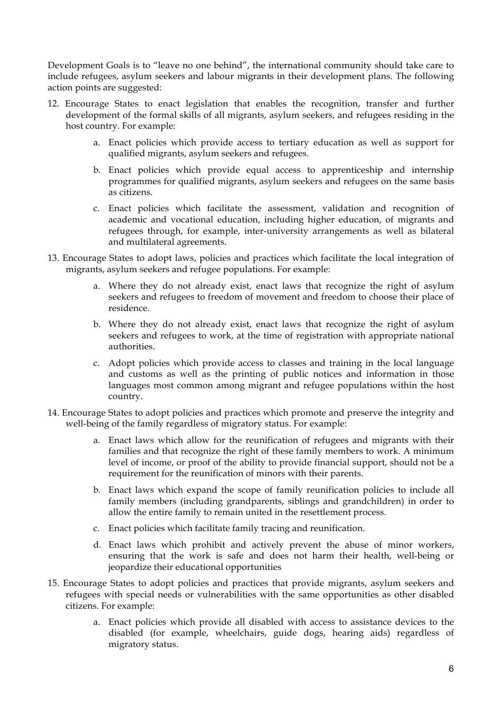Development Goals is to "leave no one behind", the international community should take care to include refugees, asylum seekers and labour migrants in their development plans. The following action points are suggested:

- 12. Encourage States to enact legislation that enables the recognition, transfer and further development of the formal skills of all migrants, asylum seekers, and refugees residing in the host country. For example:
	- a. Enact policies which provide access to tertiary education as well as support for qualified migrants, asylum seekers and refugees.
	- b. Enact policies which provide equal access to apprenticeship and internship programmes for qualified migrants, asylum seekers and refugees on the same basis as citizens.
	- c. Enact policies which facilitate the assessment, validation and recognition of academic and vocational education, including higher education, of migrants and refugees through, for example, inter-university arrangements as well as bilateral and multilateral agreements.
- 13. Encourage States to adopt laws, policies and practices which facilitate the local integration of migrants, asylum seekers and refugee populations. For example:
	- a. Where they do not already exist, enact laws that recognize the right of asylum seekers and refugees to freedom of movement and freedom to choose their place of residence.
	- b. Where they do not already exist, enact laws that recognize the right of asylum seekers and refugees to work, at the time of registration with appropriate national authorities.
	- c. Adopt policies which provide access to classes and training in the local language and customs as well as the printing of public notices and information in those languages most common among migrant and refugee populations within the host country.
- 14. Encourage States to adopt policies and practices which promote and preserve the integrity and well-being of the family regardless of migratory status. For example:
	- a. Enact laws which allow for the reunification of refugees and migrants with their families and that recognize the right of these family members to work. A minimum level of income, or proof of the ability to provide financial support, should not be a requirement for the reunification of minors with their parents.
	- b. Enact laws which expand the scope of family reunification policies to include all family members (including grandparents, siblings and grandchildren) in order to allow the entire family to remain united in the resettlement process.
	- c. Enact policies which facilitate family tracing and reunification.
	- d. Enact laws which prohibit and actively prevent the abuse of minor workers, ensuring that the work is safe and does not harm their health, well-being or jeopardize their educational opportunities
- 15. Encourage States to adopt policies and practices that provide migrants, asylum seekers and refugees with special needs or vulnerabilities with the same opportunities as other disabled citizens. For example:
	- a. Enact policies which provide all disabled with access to assistance devices to the disabled (for example, wheelchairs, guide dogs, hearing aids) regardless of migratory status.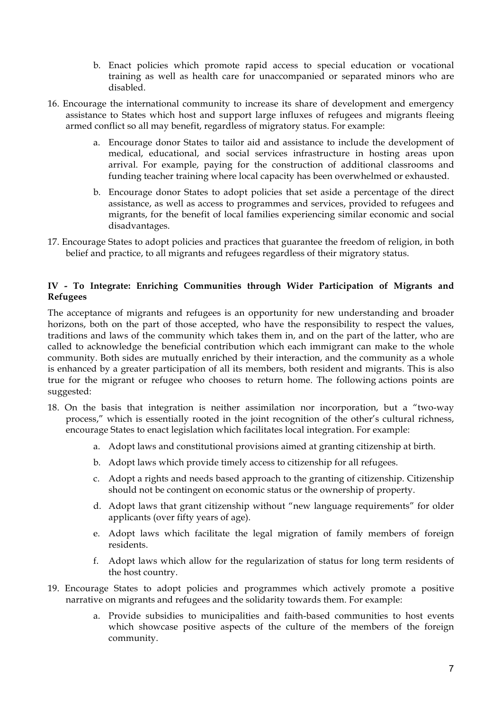- b. Enact policies which promote rapid access to special education or vocational training as well as health care for unaccompanied or separated minors who are disabled.
- 16. Encourage the international community to increase its share of development and emergency assistance to States which host and support large influxes of refugees and migrants fleeing armed conflict so all may benefit, regardless of migratory status. For example:
	- a. Encourage donor States to tailor aid and assistance to include the development of medical, educational, and social services infrastructure in hosting areas upon arrival. For example, paying for the construction of additional classrooms and funding teacher training where local capacity has been overwhelmed or exhausted.
	- b. Encourage donor States to adopt policies that set aside a percentage of the direct assistance, as well as access to programmes and services, provided to refugees and migrants, for the benefit of local families experiencing similar economic and social disadvantages.
- 17. Encourage States to adopt policies and practices that guarantee the freedom of religion, in both belief and practice, to all migrants and refugees regardless of their migratory status.

### **IV - To Integrate: Enriching Communities through Wider Participation of Migrants and Refugees**

The acceptance of migrants and refugees is an opportunity for new understanding and broader horizons, both on the part of those accepted, who have the responsibility to respect the values, traditions and laws of the community which takes them in, and on the part of the latter, who are called to acknowledge the beneficial contribution which each immigrant can make to the whole community. Both sides are mutually enriched by their interaction, and the community as a whole is enhanced by a greater participation of all its members, both resident and migrants. This is also true for the migrant or refugee who chooses to return home. The following actions points are suggested:

- 18. On the basis that integration is neither assimilation nor incorporation, but a "two-way process," which is essentially rooted in the joint recognition of the other's cultural richness, encourage States to enact legislation which facilitates local integration. For example:
	- a. Adopt laws and constitutional provisions aimed at granting citizenship at birth.
	- b. Adopt laws which provide timely access to citizenship for all refugees.
	- c. Adopt a rights and needs based approach to the granting of citizenship. Citizenship should not be contingent on economic status or the ownership of property.
	- d. Adopt laws that grant citizenship without "new language requirements" for older applicants (over fifty years of age).
	- e. Adopt laws which facilitate the legal migration of family members of foreign residents.
	- f. Adopt laws which allow for the regularization of status for long term residents of the host country.
- 19. Encourage States to adopt policies and programmes which actively promote a positive narrative on migrants and refugees and the solidarity towards them. For example:
	- a. Provide subsidies to municipalities and faith-based communities to host events which showcase positive aspects of the culture of the members of the foreign community.